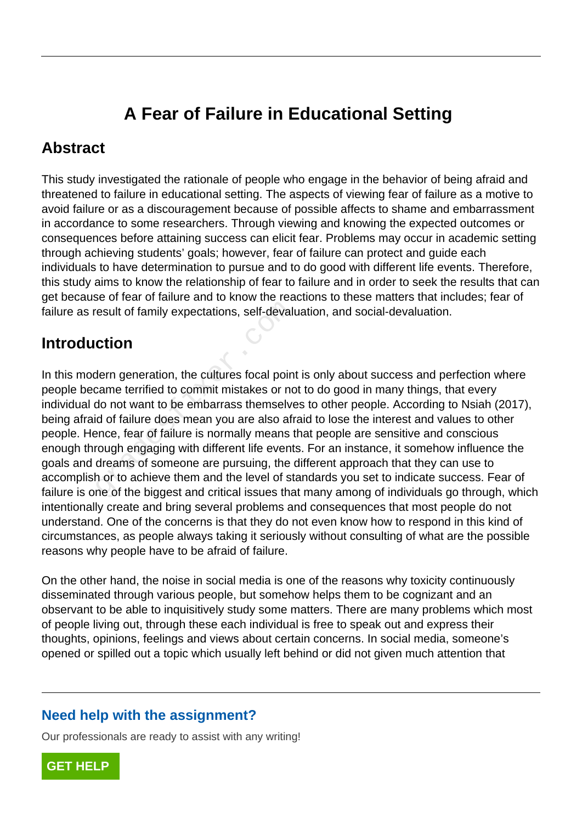# **A Fear of Failure in Educational Setting**

### **Abstract**

This study investigated the rationale of people who engage in the behavior of being afraid and threatened to failure in educational setting. The aspects of viewing fear of failure as a motive to avoid failure or as a discouragement because of possible affects to shame and embarrassment in accordance to some researchers. Through viewing and knowing the expected outcomes or consequences before attaining success can elicit fear. Problems may occur in academic setting through achieving students' goals; however, fear of failure can protect and guide each individuals to have determination to pursue and to do good with different life events. Therefore, this study aims to know the relationship of fear to failure and in order to seek the results that can get because of fear of failure and to know the reactions to these matters that includes; fear of failure as result of family expectations, self-devaluation, and social-devaluation.

## **Introduction**

In this modern generation, the cultures focal point is only about success and perfection where people became terrified to commit mistakes or not to do good in many things, that every individual do not want to be embarrass themselves to other people. According to Nsiah (2017), being afraid of failure does mean you are also afraid to lose the interest and values to other people. Hence, fear of failure is normally means that people are sensitive and conscious enough through engaging with different life events. For an instance, it somehow influence the goals and dreams of someone are pursuing, the different approach that they can use to accomplish or to achieve them and the level of standards you set to indicate success. Fear of failure is one of the biggest and critical issues that many among of individuals go through, which intentionally create and bring several problems and consequences that most people do not understand. One of the concerns is that they do not even know how to respond in this kind of circumstances, as people always taking it seriously without consulting of what are the possible reasons why people have to be afraid of failure. result of family expectations, self-devalues<br> **Ction**<br>
dern generation, the cultures focal poin<br>
came terrified to commit mistakes or no<br>
do not want to be embarrass themselve<br>
id of failure does mean you are also afr<br>
enc

On the other hand, the noise in social media is one of the reasons why toxicity continuously disseminated through various people, but somehow helps them to be cognizant and an observant to be able to inquisitively study some matters. There are many problems which most of people living out, through these each individual is free to speak out and express their thoughts, opinions, feelings and views about certain concerns. In social media, someone's opened or spilled out a topic which usually left behind or did not given much attention that

### **Need help with the assignment?**

Our professionals are ready to assist with any writing!

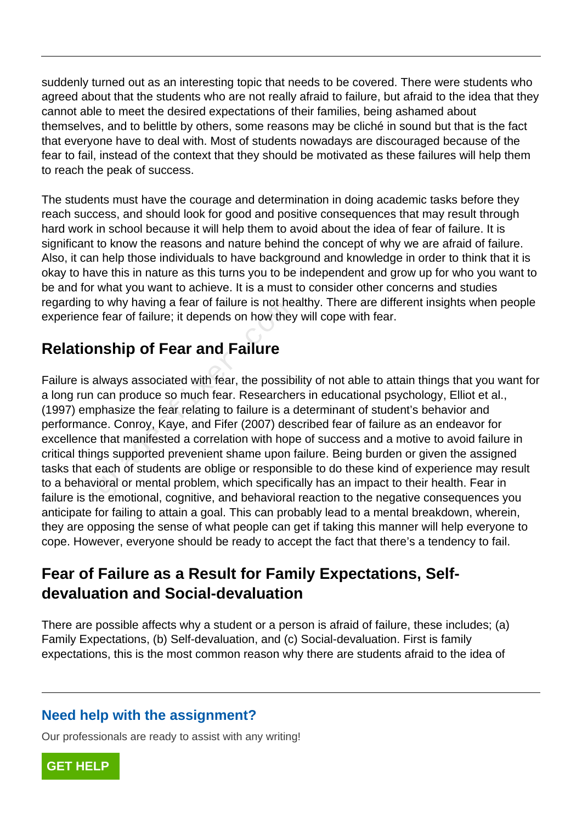suddenly turned out as an interesting topic that needs to be covered. There were students who agreed about that the students who are not really afraid to failure, but afraid to the idea that they cannot able to meet the desired expectations of their families, being ashamed about themselves, and to belittle by others, some reasons may be cliché in sound but that is the fact that everyone have to deal with. Most of students nowadays are discouraged because of the fear to fail, instead of the context that they should be motivated as these failures will help them to reach the peak of success.

The students must have the courage and determination in doing academic tasks before they reach success, and should look for good and positive consequences that may result through hard work in school because it will help them to avoid about the idea of fear of failure. It is significant to know the reasons and nature behind the concept of why we are afraid of failure. Also, it can help those individuals to have background and knowledge in order to think that it is okay to have this in nature as this turns you to be independent and grow up for who you want to be and for what you want to achieve. It is a must to consider other concerns and studies regarding to why having a fear of failure is not healthy. There are different insights when people experience fear of failure; it depends on how they will cope with fear.

## **Relationship of Fear and Failure**

Failure is always associated with fear, the possibility of not able to attain things that you want for a long run can produce so much fear. Researchers in educational psychology, Elliot et al., (1997) emphasize the fear relating to failure is a determinant of student's behavior and performance. Conroy, Kaye, and Fifer (2007) described fear of failure as an endeavor for excellence that manifested a correlation with hope of success and a motive to avoid failure in critical things supported prevenient shame upon failure. Being burden or given the assigned tasks that each of students are oblige or responsible to do these kind of experience may result to a behavioral or mental problem, which specifically has an impact to their health. Fear in failure is the emotional, cognitive, and behavioral reaction to the negative consequences you anticipate for failing to attain a goal. This can probably lead to a mental breakdown, wherein, they are opposing the sense of what people can get if taking this manner will help everyone to cope. However, everyone should be ready to accept the fact that there's a tendency to fail. to why having a tear of failure is not here<br>after the fear of failure; it depends on how they<br>**nship of Fear and Failure**<br>always associated with fear, the possib<br>can produce so much fear. Researche<br>phasize the fear relatin

## **Fear of Failure as a Result for Family Expectations, Selfdevaluation and Social-devaluation**

There are possible affects why a student or a person is afraid of failure, these includes; (a) Family Expectations, (b) Self-devaluation, and (c) Social-devaluation. First is family expectations, this is the most common reason why there are students afraid to the idea of

### **Need help with the assignment?**

Our professionals are ready to assist with any writing!

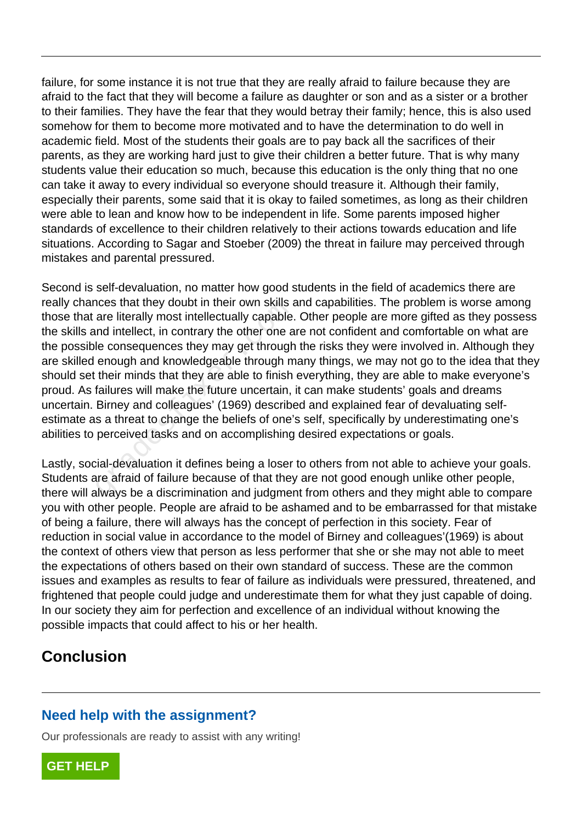failure, for some instance it is not true that they are really afraid to failure because they are afraid to the fact that they will become a failure as daughter or son and as a sister or a brother to their families. They have the fear that they would betray their family; hence, this is also used somehow for them to become more motivated and to have the determination to do well in academic field. Most of the students their goals are to pay back all the sacrifices of their parents, as they are working hard just to give their children a better future. That is why many students value their education so much, because this education is the only thing that no one can take it away to every individual so everyone should treasure it. Although their family, especially their parents, some said that it is okay to failed sometimes, as long as their children were able to lean and know how to be independent in life. Some parents imposed higher standards of excellence to their children relatively to their actions towards education and life situations. According to Sagar and Stoeber (2009) the threat in failure may perceived through mistakes and parental pressured.

Second is self-devaluation, no matter how good students in the field of academics there are really chances that they doubt in their own skills and capabilities. The problem is worse among those that are literally most intellectually capable. Other people are more gifted as they possess the skills and intellect, in contrary the other one are not confident and comfortable on what are the possible consequences they may get through the risks they were involved in. Although they are skilled enough and knowledgeable through many things, we may not go to the idea that they should set their minds that they are able to finish everything, they are able to make everyone's proud. As failures will make the future uncertain, it can make students' goals and dreams uncertain. Birney and colleagues' (1969) described and explained fear of devaluating selfestimate as a threat to change the beliefs of one's self, specifically by underestimating one's abilities to perceived tasks and on accomplishing desired expectations or goals. ices triat they doubt in their own skins a<br>are literally most intellectually capable.<br>Ind intellect, in contrary the other one a<br>le consequences they may get through<br>enough and knowledgeable through m<br>their minds that they

Lastly, social-devaluation it defines being a loser to others from not able to achieve your goals. Students are afraid of failure because of that they are not good enough unlike other people, there will always be a discrimination and judgment from others and they might able to compare you with other people. People are afraid to be ashamed and to be embarrassed for that mistake of being a failure, there will always has the concept of perfection in this society. Fear of reduction in social value in accordance to the model of Birney and colleagues'(1969) is about the context of others view that person as less performer that she or she may not able to meet the expectations of others based on their own standard of success. These are the common issues and examples as results to fear of failure as individuals were pressured, threatened, and frightened that people could judge and underestimate them for what they just capable of doing. In our society they aim for perfection and excellence of an individual without knowing the possible impacts that could affect to his or her health.

## **Conclusion**

#### **Need help with the assignment?**

Our professionals are ready to assist with any writing!

**[GET HELP](https://my.gradesfixer.com/order?utm_campaign=pdf_sample)**